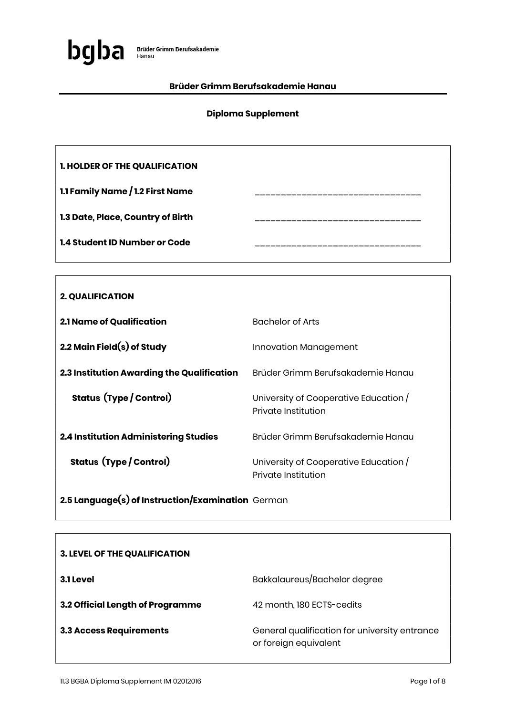

### Brüder Grimm Berufsakademie Hanau

### Diploma Supplement

| <b>1. HOLDER OF THE QUALIFICATION</b> |  |
|---------------------------------------|--|
| 1.1 Family Name / 1.2 First Name      |  |
| 1.3 Date, Place, Country of Birth     |  |
| <b>1.4 Student ID Number or Code</b>  |  |

| <b>2. QUALIFICATION</b>                      |                                                              |
|----------------------------------------------|--------------------------------------------------------------|
| <b>2.1 Name of Qualification</b>             | <b>Bachelor of Arts</b>                                      |
| 2.2 Main Field $(s)$ of Study                | Innovation Management                                        |
| 2.3 Institution Awarding the Qualification   | Brüder Grimm Berufsakademie Hanau                            |
| <b>Status (Type / Control)</b>               | University of Cooperative Education /<br>Private Institution |
| <b>2.4 Institution Administering Studies</b> | Brüder Grimm Berufsakademie Hanau                            |
| <b>Status (Type / Control)</b>               | University of Cooperative Education /<br>Private Institution |

2.5 Language(s) of Instruction/Examination German

| <b>3. LEVEL OF THE QUALIFICATION</b> |                                                                        |
|--------------------------------------|------------------------------------------------------------------------|
| 3.1 Level                            | Bakkalaureus/Bachelor degree                                           |
| 3.2 Official Length of Programme     | 42 month, 180 ECTS-cedits                                              |
| <b>3.3 Access Requirements</b>       | General qualification for university entrance<br>or foreign equivalent |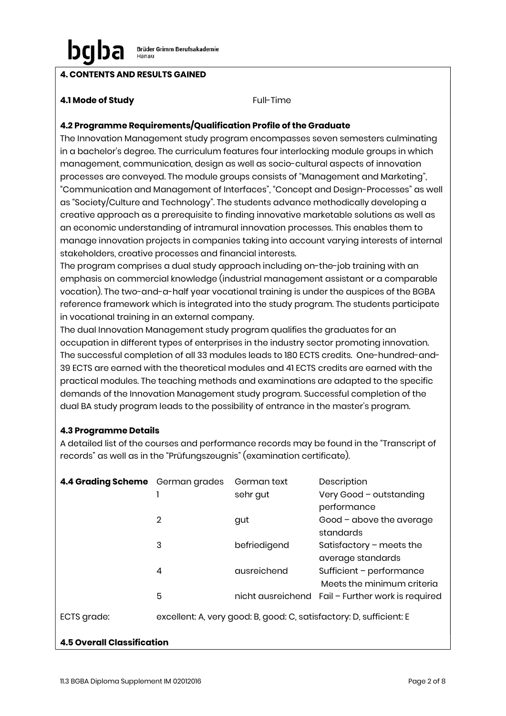# 4. CONTENTS AND RESULTS GAINED

### **4.1 Mode of Study Full-Time**

## 4.2 Programme Requirements/Qualification Profile of the Graduate

The Innovation Management study program encompasses seven semesters culminating in a bachelor's degree. The curriculum features four interlocking module groups in which management, communication, design as well as socio-cultural aspects of innovation processes are conveyed. The module groups consists of "Management and Marketing", "Communication and Management of Interfaces", "Concept and Design-Processes" as well as "Society/Culture and Technology". The students advance methodically developing a creative approach as a prerequisite to finding innovative marketable solutions as well as an economic understanding of intramural innovation processes. This enables them to manage innovation projects in companies taking into account varying interests of internal stakeholders, creative processes and financial interests.

The program comprises a dual study approach including on-the-job training with an emphasis on commercial knowledge (industrial management assistant or a comparable vocation). The two-and-a-half year vocational training is under the auspices of the BGBA reference framework which is integrated into the study program. The students participate in vocational training in an external company.

The dual Innovation Management study program qualifies the graduates for an occupation in different types of enterprises in the industry sector promoting innovation. The successful completion of all 33 modules leads to 180 ECTS credits. One-hundred-and-39 ECTS are earned with the theoretical modules and 41 ECTS credits are earned with the practical modules. The teaching methods and examinations are adapted to the specific demands of the Innovation Management study program. Successful completion of the dual BA study program leads to the possibility of entrance in the master's program.

### 4.3 Programme Details

A detailed list of the courses and performance records may be found in the "Transcript of records" as well as in the "Prüfungszeugnis" (examination certificate).

| 4.4 Grading Scheme German grades |                | German text  | Description                                                         |
|----------------------------------|----------------|--------------|---------------------------------------------------------------------|
|                                  |                | sehr gut     | Very Good - outstanding                                             |
|                                  |                |              | performance                                                         |
|                                  | $\overline{2}$ | gut          | Good - above the average                                            |
|                                  |                |              | standards                                                           |
|                                  | 3              | befriedigend | Satisfactory $-$ meets the                                          |
|                                  |                |              | average standards                                                   |
|                                  | 4              | ausreichend  | Sufficient - performance                                            |
|                                  |                |              | Meets the minimum criteria                                          |
|                                  | 5              |              | nicht ausreichend Fail - Further work is required                   |
| ECTS grade:                      |                |              | excellent: A, very good: B, good: C, satisfactory: D, sufficient: E |

# 4.5 Overall Classification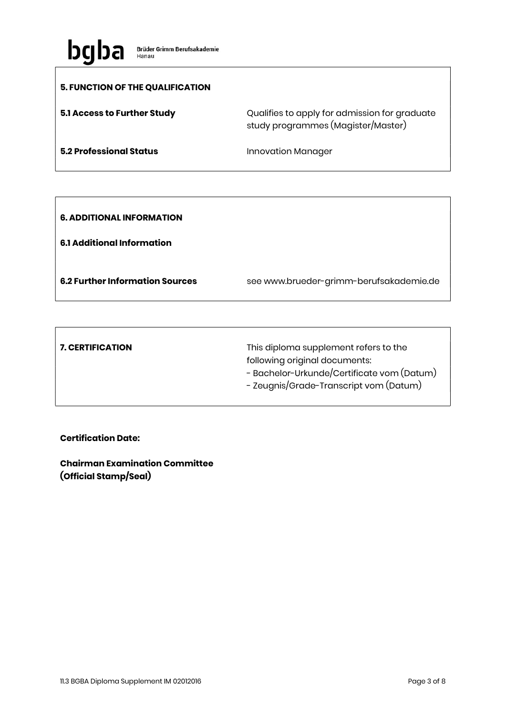

 $\overline{1}$ 

 $\lceil$ 

| 5. FUNCTION OF THE QUALIFICATION |                                                                                     |
|----------------------------------|-------------------------------------------------------------------------------------|
| 5.1 Access to Further Study      | Qualifies to apply for admission for graduate<br>study programmes (Magister/Master) |
| <b>5.2 Professional Status</b>   | <b>Innovation Manager</b>                                                           |

| <b>6. ADDITIONAL INFORMATION</b><br><b>6.1 Additional Information</b> |                                         |
|-----------------------------------------------------------------------|-----------------------------------------|
| <b>6.2 Further Information Sources</b>                                | see www.brueder-grimm-berufsakademie.de |

| <b>7. CERTIFICATION</b> | This diploma supplement refers to the      |
|-------------------------|--------------------------------------------|
|                         | following original documents:              |
|                         | - Bachelor-Urkunde/Certificate vom (Datum) |
|                         | - Zeugnis/Grade-Transcript vom (Datum)     |
|                         |                                            |

## Certification Date:

Chairman Examination Committee (Official Stamp/Seal)

٦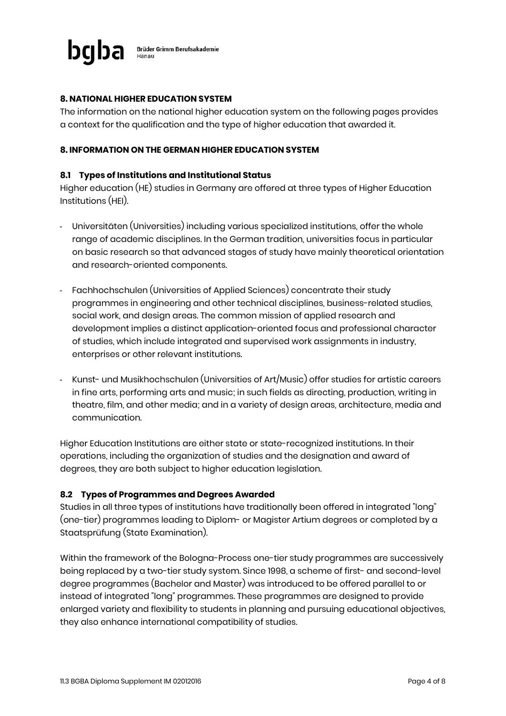

### 8. NATIONAL HIGHER EDUCATION SYSTEM

The information on the national higher education system on the following pages provides a context for the qualification and the type of higher education that awarded it.

#### 8. INFORMATION ON THE GERMAN HIGHER EDUCATION SYSTEM

#### 8.1 Types of Institutions and Institutional Status

Higher education (HE) studies in Germany are offered at three types of Higher Education Institutions (HEI).

- Universitäten (Universities) including various specialized institutions, offer the whole range of academic disciplines. In the German tradition, universities focus in particular on basic research so that advanced stages of study have mainly theoretical orientation and research-oriented components.
- Fachhochschulen (Universities of Applied Sciences) concentrate their study programmes in engineering and other technical disciplines, business-related studies, social work, and design areas. The common mission of applied research and development implies a distinct application-oriented focus and professional character of studies, which include integrated and supervised work assignments in industry, enterprises or other relevant institutions.
- Kunst- und Musikhochschulen (Universities of Art/Music) offer studies for artistic careers in fine arts, performing arts and music; in such fields as directing, production, writing in theatre, film, and other media; and in a variety of design areas, architecture, media and communication.

Higher Education Institutions are either state or state-recognized institutions. In their operations, including the organization of studies and the designation and award of degrees, they are both subject to higher education legislation.

#### 8.2 Types of Programmes and Degrees Awarded

Studies in all three types of institutions have traditionally been offered in integrated "long" (one-tier) programmes leading to Diplom- or Magister Artium degrees or completed by a Staatsprüfung (State Examination).

Within the framework of the Bologna-Process one-tier study programmes are successively being replaced by a two-tier study system. Since 1998, a scheme of first- and second-level degree programmes (Bachelor and Master) was introduced to be offered parallel to or instead of integrated "long" programmes. These programmes are designed to provide enlarged variety and flexibility to students in planning and pursuing educational objectives, they also enhance international compatibility of studies.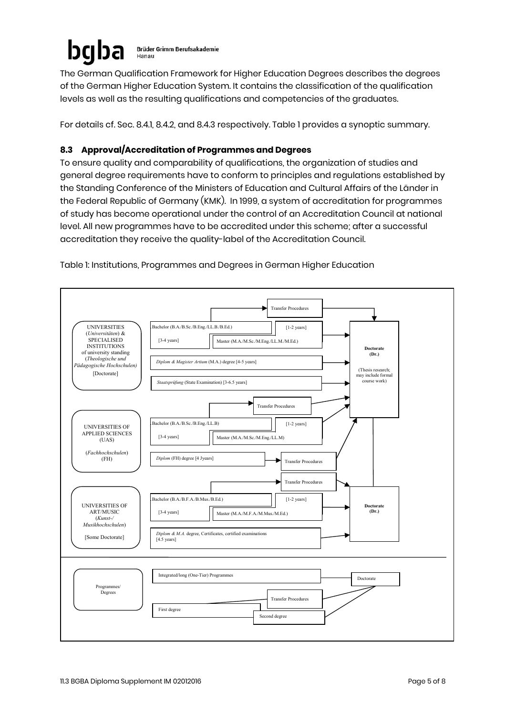#### ba **Brüder Grimm Berufsakademie** Hanau

The German Qualification Framework for Higher Education Degrees describes the degrees of the German Higher Education System. It contains the classification of the qualification levels as well as the resulting qualifications and competencies of the graduates.

For details cf. Sec. 8.4.1, 8.4.2, and 8.4.3 respectively. Table 1 provides a synoptic summary.

# 8.3 Approval/Accreditation of Programmes and Degrees

To ensure quality and comparability of qualifications, the organization of studies and general degree requirements have to conform to principles and regulations established by the Standing Conference of the Ministers of Education and Cultural Affairs of the Länder in the Federal Republic of Germany (KMK). In 1999, a system of accreditation for programmes of study has become operational under the control of an Accreditation Council at national level. All new programmes have to be accredited under this scheme; after a successful accreditation they receive the quality-label of the Accreditation Council.



Table 1: Institutions, Programmes and Degrees in German Higher Education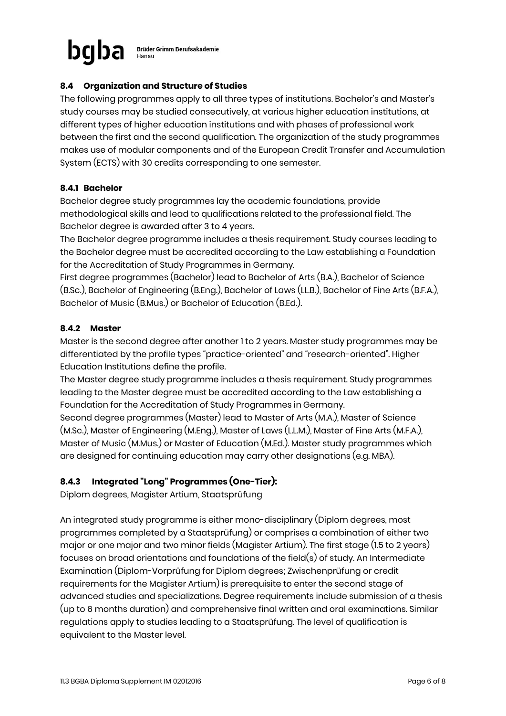

**Brüder Grimm Berufsakademie** 

# 8.4 Organization and Structure of Studies

The following programmes apply to all three types of institutions. Bachelor's and Master's study courses may be studied consecutively, at various higher education institutions, at different types of higher education institutions and with phases of professional work between the first and the second qualification. The organization of the study programmes makes use of modular components and of the European Credit Transfer and Accumulation System (ECTS) with 30 credits corresponding to one semester.

### 8.4.1 Bachelor

Bachelor degree study programmes lay the academic foundations, provide methodological skills and lead to qualifications related to the professional field. The Bachelor degree is awarded after 3 to 4 years.

The Bachelor degree programme includes a thesis requirement. Study courses leading to the Bachelor degree must be accredited according to the Law establishing a Foundation for the Accreditation of Study Programmes in Germany.

First degree programmes (Bachelor) lead to Bachelor of Arts (B.A.), Bachelor of Science (B.Sc.), Bachelor of Engineering (B.Eng.), Bachelor of Laws (LL.B.), Bachelor of Fine Arts (B.F.A.), Bachelor of Music (B.Mus.) or Bachelor of Education (B.Ed.).

### 8.4.2 Master

Master is the second degree after another 1 to 2 years. Master study programmes may be differentiated by the profile types "practice-oriented" and "research-oriented". Higher Education Institutions define the profile.

The Master degree study programme includes a thesis requirement. Study programmes leading to the Master degree must be accredited according to the Law establishing a Foundation for the Accreditation of Study Programmes in Germany.

Second degree programmes (Master) lead to Master of Arts (M.A.), Master of Science (M.Sc.), Master of Engineering (M.Eng.), Master of Laws (L.L.M.), Master of Fine Arts (M.F.A.), Master of Music (M.Mus.) or Master of Education (M.Ed.). Master study programmes which are designed for continuing education may carry other designations (e.g. MBA).

# 8.4.3 Integrated "Long" Programmes (One-Tier):

Diplom degrees, Magister Artium, Staatsprüfung

An integrated study programme is either mono-disciplinary (Diplom degrees, most programmes completed by a Staatsprüfung) or comprises a combination of either two major or one major and two minor fields (Magister Artium). The first stage (1.5 to 2 years) focuses on broad orientations and foundations of the field(s) of study. An Intermediate Examination (Diplom-Vorprüfung for Diplom degrees; Zwischenprüfung or credit requirements for the Magister Artium) is prerequisite to enter the second stage of advanced studies and specializations. Degree requirements include submission of a thesis (up to 6 months duration) and comprehensive final written and oral examinations. Similar regulations apply to studies leading to a Staatsprüfung. The level of qualification is equivalent to the Master level.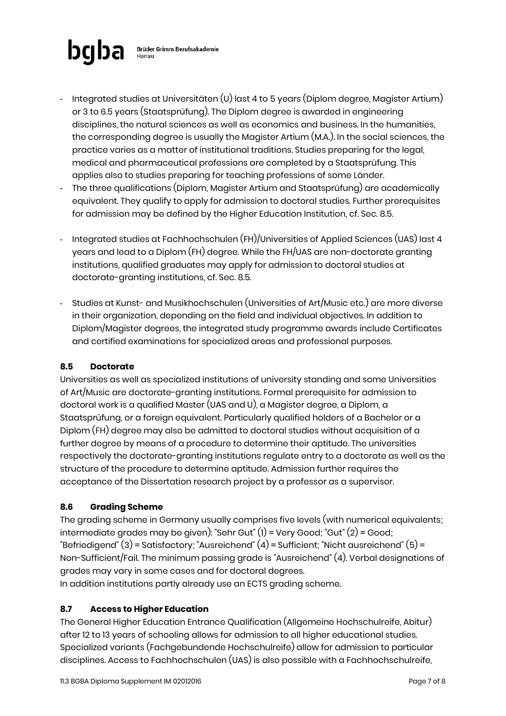

- Integrated studies at Universitäten (U) last 4 to 5 years (Diplom degree, Magister Artium) or 3 to 6.5 years (Staatsprüfung). The Diplom degree is awarded in engineering disciplines, the natural sciences as well as economics and business. In the humanities, the corresponding degree is usually the Magister Artium (M.A.). In the social sciences, the practice varies as a matter of institutional traditions. Studies preparing for the legal, medical and pharmaceutical professions are completed by a Staatsprüfung. This applies also to studies preparing for teaching professions of some Länder.
- The three qualifications (Diplom, Magister Artium and Staatsprüfung) are academically equivalent. They qualify to apply for admission to doctoral studies. Further prerequisites for admission may be defined by the Higher Education Institution, cf. Sec. 8.5.
- Integrated studies at Fachhochschulen (FH)/Universities of Applied Sciences (UAS) last 4 years and lead to a Diplom (FH) degree. While the FH/UAS are non-doctorate granting institutions, qualified graduates may apply for admission to doctoral studies at doctorate-granting institutions, cf. Sec. 8.5.
- Studies at Kunst- and Musikhochschulen (Universities of Art/Music etc.) are more diverse in their organization, depending on the field and individual objectives. In addition to Diplom/Magister degrees, the integrated study programme awards include Certificates and certified examinations for specialized areas and professional purposes.

# 8.5 Doctorate

Universities as well as specialized institutions of university standing and some Universities of Art/Music are doctorate-granting institutions. Formal prerequisite for admission to doctoral work is a qualified Master (UAS and U), a Magister degree, a Diplom, a Staatsprüfung, or a foreign equivalent. Particularly qualified holders of a Bachelor or a Diplom (FH) degree may also be admitted to doctoral studies without acquisition of a further degree by means of a procedure to determine their aptitude. The universities respectively the doctorate-granting institutions regulate entry to a doctorate as well as the structure of the procedure to determine aptitude. Admission further requires the acceptance of the Dissertation research project by a professor as a supervisor.

# 8.6 Grading Scheme

The grading scheme in Germany usually comprises five levels (with numerical equivalents; intermediate grades may be given): "Sehr Gut" (1) = Very Good; "Gut" (2) = Good; "Befriedigend" (3) = Satisfactory; "Ausreichend" (4) = Sufficient; "Nicht ausreichend" (5) = Non-Sufficient/Fail. The minimum passing grade is "Ausreichend" (4). Verbal designations of grades may vary in some cases and for doctoral degrees.

In addition institutions partly already use an ECTS grading scheme.

# 8.7 Access to Higher Education

The General Higher Education Entrance Qualification (Allgemeine Hochschulreife, Abitur) after 12 to 13 years of schooling allows for admission to all higher educational studies. Specialized variants (Fachgebundende Hochschulreife) allow for admission to particular disciplines. Access to Fachhochschulen (UAS) is also possible with a Fachhochschulreife,